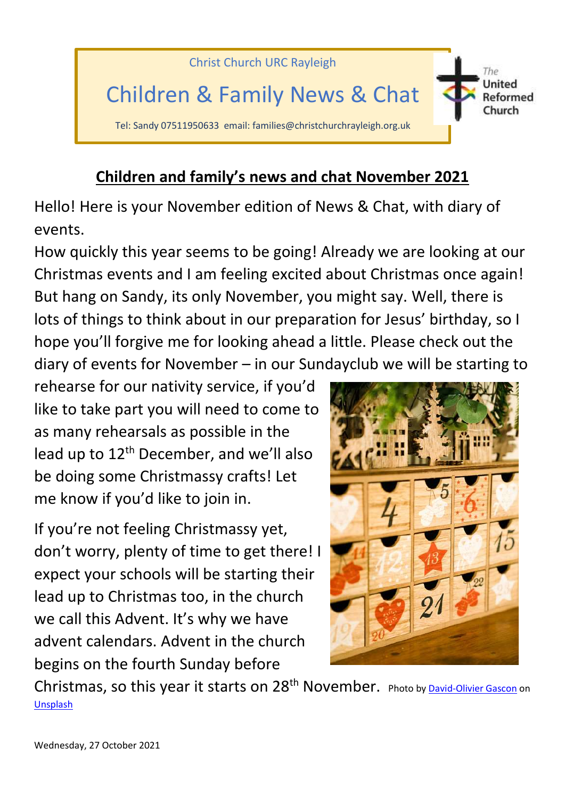

## **Children and family's news and chat November 2021**

Hello! Here is your November edition of News & Chat, with diary of events.

How quickly this year seems to be going! Already we are looking at our Christmas events and I am feeling excited about Christmas once again! But hang on Sandy, its only November, you might say. Well, there is lots of things to think about in our preparation for Jesus' birthday, so I hope you'll forgive me for looking ahead a little. Please check out the diary of events for November – in our Sundayclub we will be starting to

rehearse for our nativity service, if you'd like to take part you will need to come to as many rehearsals as possible in the lead up to 12<sup>th</sup> December, and we'll also be doing some Christmassy crafts! Let me know if you'd like to join in.

If you're not feeling Christmassy yet, don't worry, plenty of time to get there! I expect your schools will be starting their lead up to Christmas too, in the church we call this Advent. It's why we have advent calendars. Advent in the church begins on the fourth Sunday before



Christmas, so this year it starts on 28<sup>th</sup> November. Photo b[y David-Olivier Gascon](https://unsplash.com/@davidogascon?utm_source=unsplash&utm_medium=referral&utm_content=creditCopyText) on [Unsplash](https://unsplash.com/s/photos/advent-calendar?utm_source=unsplash&utm_medium=referral&utm_content=creditCopyText)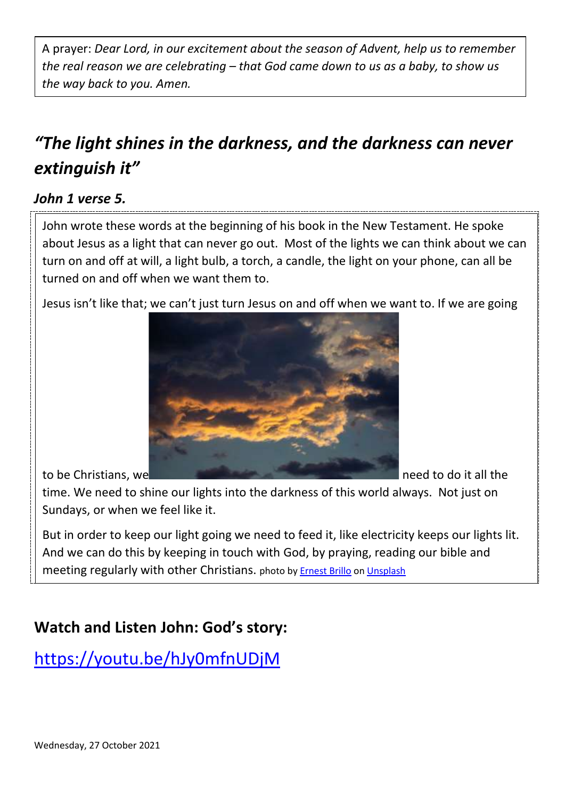A prayer: *Dear Lord, in our excitement about the season of Advent, help us to remember the real reason we are celebrating – that God came down to us as a baby, to show us the way back to you. Amen.* 

## *"The light shines in the darkness, and the darkness can never extinguish it"*

## *John 1 verse 5.*

John wrote these words at the beginning of his book in the New Testament. He spoke about Jesus as a light that can never go out. Most of the lights we can think about we can turn on and off at will, a light bulb, a torch, a candle, the light on your phone, can all be turned on and off when we want them to.

Jesus isn't like that; we can't just turn Jesus on and off when we want to. If we are going



time. We need to shine our lights into the darkness of this world always. Not just on Sundays, or when we feel like it.

But in order to keep our light going we need to feed it, like electricity keeps our lights lit. And we can do this by keeping in touch with God, by praying, reading our bible and meeting regularly with other Christians. photo by [Ernest Brillo](https://unsplash.com/@ernest_brillo?utm_source=unsplash&utm_medium=referral&utm_content=creditCopyText) o[n Unsplash](https://unsplash.com/s/photos/shining-in-the-dark?utm_source=unsplash&utm_medium=referral&utm_content=creditCopyText)

## **Watch and Listen John: God's story:**

<https://youtu.be/hJy0mfnUDjM>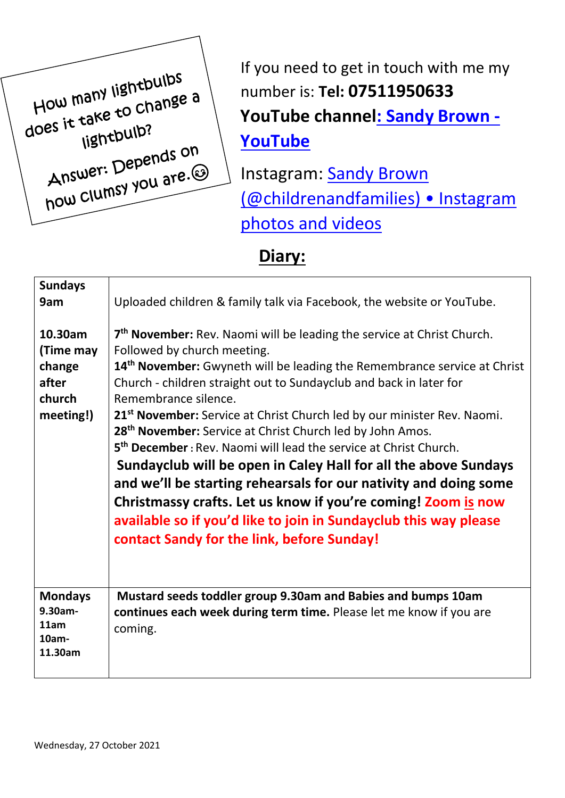How many lightbulbs How many lightpuist<br>does it take to change a tand<br>lightbulb? Hightban<br>Answer: Depends on<br>whey you are. Answer: Depends<br>how Clumsy you are.

If you need to get in touch with me my number is: **Tel: 07511950633 YouTube channe[l: Sandy Brown -](https://www.youtube.com/channel/UCczXJ3IckAMTs3fhXEBjI_g) [YouTube](https://www.youtube.com/channel/UCczXJ3IckAMTs3fhXEBjI_g)**

Instagram: Sandy Brown [\(@childrenandfamilies\) • Instagram](https://www.instagram.com/childrenandfamilies/)  [photos and videos](https://www.instagram.com/childrenandfamilies/)

**Diary:**

| <b>Sundays</b><br>9am                                          | Uploaded children & family talk via Facebook, the website or YouTube.                                                                                                                                                                                                                                                                                                                                                                                                                                                                                                                                                                                                                                                                                                                                                                                                             |
|----------------------------------------------------------------|-----------------------------------------------------------------------------------------------------------------------------------------------------------------------------------------------------------------------------------------------------------------------------------------------------------------------------------------------------------------------------------------------------------------------------------------------------------------------------------------------------------------------------------------------------------------------------------------------------------------------------------------------------------------------------------------------------------------------------------------------------------------------------------------------------------------------------------------------------------------------------------|
| 10.30am<br>(Time may<br>change<br>after<br>church<br>meeting!) | 7 <sup>th</sup> November: Rev. Naomi will be leading the service at Christ Church.<br>Followed by church meeting.<br>14 <sup>th</sup> November: Gwyneth will be leading the Remembrance service at Christ<br>Church - children straight out to Sundayclub and back in later for<br>Remembrance silence.<br>21 <sup>st</sup> November: Service at Christ Church led by our minister Rev. Naomi.<br>28 <sup>th</sup> November: Service at Christ Church led by John Amos.<br>5 <sup>th</sup> December: Rev. Naomi will lead the service at Christ Church.<br>Sundayclub will be open in Caley Hall for all the above Sundays<br>and we'll be starting rehearsals for our nativity and doing some<br>Christmassy crafts. Let us know if you're coming! Zoom is now<br>available so if you'd like to join in Sundayclub this way please<br>contact Sandy for the link, before Sunday! |
| <b>Mondays</b><br>9.30am-<br>11am<br>$10am -$<br>11.30am       | Mustard seeds toddler group 9.30am and Babies and bumps 10am<br>continues each week during term time. Please let me know if you are<br>coming.                                                                                                                                                                                                                                                                                                                                                                                                                                                                                                                                                                                                                                                                                                                                    |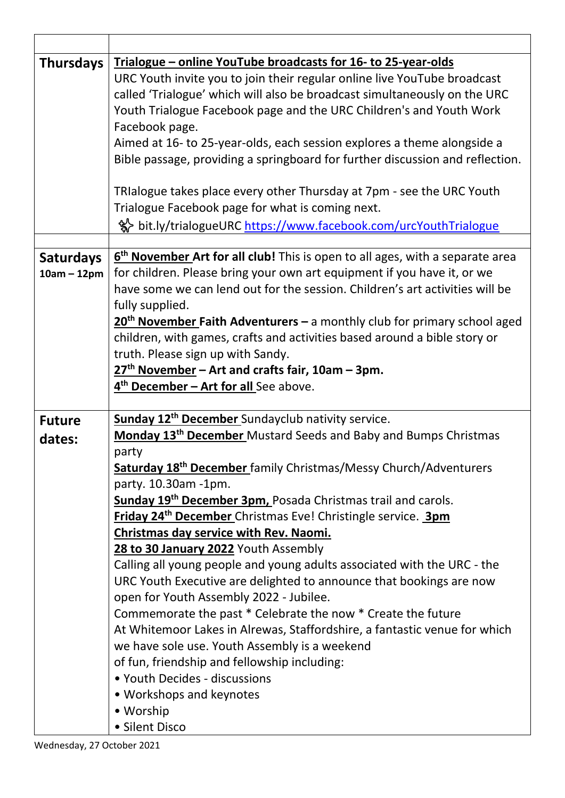| Trialogue – online YouTube broadcasts for 16- to 25-year-olds                   |
|---------------------------------------------------------------------------------|
| URC Youth invite you to join their regular online live YouTube broadcast        |
| called 'Trialogue' which will also be broadcast simultaneously on the URC       |
| Youth Trialogue Facebook page and the URC Children's and Youth Work             |
| Facebook page.                                                                  |
| Aimed at 16- to 25-year-olds, each session explores a theme alongside a         |
| Bible passage, providing a springboard for further discussion and reflection.   |
|                                                                                 |
| TRIalogue takes place every other Thursday at 7pm - see the URC Youth           |
| Trialogue Facebook page for what is coming next.                                |
| % bit.ly/trialogueURC https://www.facebook.com/urcYouthTrialogue                |
| $6th$ November Art for all club! This is open to all ages, with a separate area |
| for children. Please bring your own art equipment if you have it, or we         |
| have some we can lend out for the session. Children's art activities will be    |
| fully supplied.                                                                 |
| $20th$ November Faith Adventurers – a monthly club for primary school aged      |
| children, with games, crafts and activities based around a bible story or       |
| truth. Please sign up with Sandy.                                               |
| $27th$ November – Art and crafts fair, 10am – 3pm.                              |
| 4 <sup>th</sup> December - Art for all See above.                               |
|                                                                                 |
| <b>Sunday 12<sup>th</sup> December</b> Sundayclub nativity service.             |
| Monday 13 <sup>th</sup> December Mustard Seeds and Baby and Bumps Christmas     |
| party                                                                           |
|                                                                                 |
| Saturday 18 <sup>th</sup> December family Christmas/Messy Church/Adventurers    |
| party. 10.30am -1pm.                                                            |
| Sunday 19 <sup>th</sup> December 3pm, Posada Christmas trail and carols.        |
| Friday 24 <sup>th</sup> December Christmas Eve! Christingle service. 3pm        |
| Christmas day service with Rev. Naomi.                                          |
| 28 to 30 January 2022 Youth Assembly                                            |
| Calling all young people and young adults associated with the URC - the         |
| URC Youth Executive are delighted to announce that bookings are now             |
| open for Youth Assembly 2022 - Jubilee.                                         |
| Commemorate the past * Celebrate the now * Create the future                    |
| At Whitemoor Lakes in Alrewas, Staffordshire, a fantastic venue for which       |
| we have sole use. Youth Assembly is a weekend                                   |
| of fun, friendship and fellowship including:                                    |
| • Youth Decides - discussions                                                   |
| • Workshops and keynotes<br>• Worship                                           |
|                                                                                 |

 $\overline{1}$